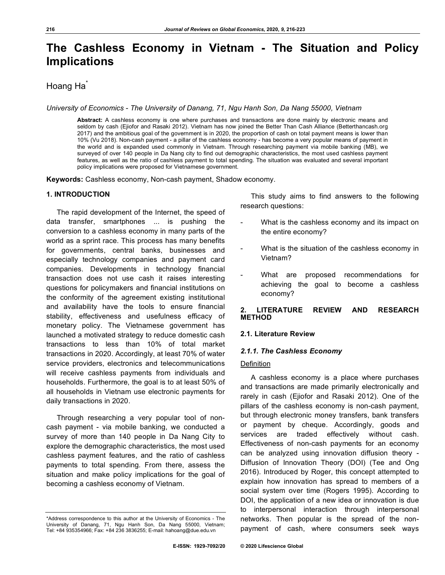# **The Cashless Economy in Vietnam - The Situation and Policy Implications**

# Hoang Ha<sup>+</sup>

*University of Economics - The University of Danang, 71, Ngu Hanh Son, Da Nang 55000, Vietnam*

**Abstract:** A cashless economy is one where purchases and transactions are done mainly by electronic means and seldom by cash (Ejiofor and Rasaki 2012). Vietnam has now joined the Better Than Cash Alliance (Betterthancash.org 2017) and the ambitious goal of the government is in 2020, the proportion of cash on total payment means is lower than 10% (Vu 2018). Non-cash payment - a pillar of the cashless economy - has become a very popular means of payment in the world and is expanded used commonly in Vietnam. Through researching payment via mobile banking (MB), we surveyed of over 140 people in Da Nang city to find out demographic characteristics, the most used cashless payment features, as well as the ratio of cashless payment to total spending. The situation was evaluated and several important policy implications were proposed for Vietnamese government.

**Keywords:** Cashless economy, Non-cash payment, Shadow economy.

#### **1. INTRODUCTION**

The rapid development of the Internet, the speed of data transfer, smartphones ... is pushing the conversion to a cashless economy in many parts of the world as a sprint race. This process has many benefits for governments, central banks, businesses and especially technology companies and payment card companies. Developments in technology financial transaction does not use cash it raises interesting questions for policymakers and financial institutions on the conformity of the agreement existing institutional and availability have the tools to ensure financial stability, effectiveness and usefulness efficacy of monetary policy. The Vietnamese government has launched a motivated strategy to reduce domestic cash transactions to less than 10% of total market transactions in 2020. Accordingly, at least 70% of water service providers, electronics and telecommunications will receive cashless payments from individuals and households. Furthermore, the goal is to at least 50% of all households in Vietnam use electronic payments for daily transactions in 2020.

Through researching a very popular tool of noncash payment - via mobile banking, we conducted a survey of more than 140 people in Da Nang City to explore the demographic characteristics, the most used cashless payment features, and the ratio of cashless payments to total spending. From there, assess the situation and make policy implications for the goal of becoming a cashless economy of Vietnam.

This study aims to find answers to the following research questions:

- What is the cashless economy and its impact on the entire economy?
- What is the situation of the cashless economy in Vietnam?
- What are proposed recommendations for achieving the goal to become a cashless economy?

# **2. LITERATURE REVIEW AND RESEARCH METHOD**

#### **2.1. Literature Review**

# *2.1.1. The Cashless Economy*

#### Definition

A cashless economy is a place where purchases and transactions are made primarily electronically and rarely in cash (Ejiofor and Rasaki 2012). One of the pillars of the cashless economy is non-cash payment, but through electronic money transfers, bank transfers or payment by cheque. Accordingly, goods and services are traded effectively without cash. Effectiveness of non-cash payments for an economy can be analyzed using innovation diffusion theory - Diffusion of Innovation Theory (DOI) (Tee and Ong 2016). Introduced by Roger, this concept attempted to explain how innovation has spread to members of a social system over time (Rogers 1995). According to DOI, the application of a new idea or innovation is due to interpersonal interaction through interpersonal networks. Then popular is the spread of the nonpayment of cash, where consumers seek ways

<sup>\*</sup>Address correspondence to this author at the University of Economics - The University of Danang, 71, Ngu Hanh Son, Da Nang 55000, Vietnam; Tel: +84 935354966; Fax: +84 236 3836255; E-mail: hahoang@due.edu.vn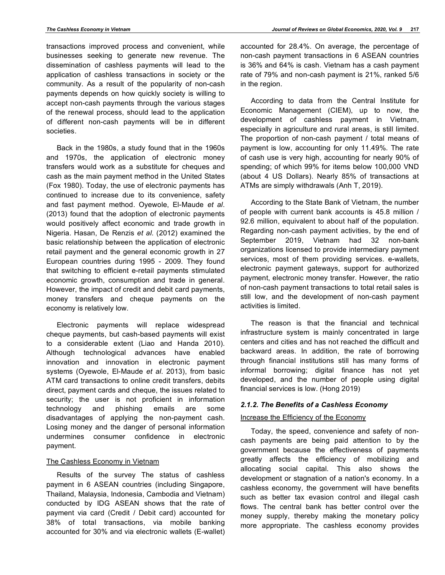transactions improved process and convenient, while businesses seeking to generate new revenue. The dissemination of cashless payments will lead to the application of cashless transactions in society or the community. As a result of the popularity of non-cash payments depends on how quickly society is willing to accept non-cash payments through the various stages of the renewal process, should lead to the application of different non-cash payments will be in different societies.

Back in the 1980s, a study found that in the 1960s and 1970s, the application of electronic money transfers would work as a substitute for cheques and cash as the main payment method in the United States (Fox 1980). Today, the use of electronic payments has continued to increase due to its convenience, safety and fast payment method. Oyewole, El-Maude *et al*. (2013) found that the adoption of electronic payments would positively affect economic and trade growth in Nigeria. Hasan, De Renzis *et al*. (2012) examined the basic relationship between the application of electronic retail payment and the general economic growth in 27 European countries during 1995 - 2009. They found that switching to efficient e-retail payments stimulated economic growth, consumption and trade in general. However, the impact of credit and debit card payments, money transfers and cheque payments on the economy is relatively low.

Electronic payments will replace widespread cheque payments, but cash-based payments will exist to a considerable extent (Liao and Handa 2010). Although technological advances have enabled innovation and innovation in electronic payment systems (Oyewole, El-Maude *et al*. 2013), from basic ATM card transactions to online credit transfers, debits direct, payment cards and cheque, the issues related to security; the user is not proficient in information technology and phishing emails are some disadvantages of applying the non-payment cash. Losing money and the danger of personal information undermines consumer confidence in electronic payment.

# The Cashless Economy in Vietnam

Results of the survey The status of cashless payment in 6 ASEAN countries (including Singapore, Thailand, Malaysia, Indonesia, Cambodia and Vietnam) conducted by IDG ASEAN shows that the rate of payment via card (Credit / Debit card) accounted for 38% of total transactions, via mobile banking accounted for 30% and via electronic wallets (E-wallet) accounted for 28.4%. On average, the percentage of non-cash payment transactions in 6 ASEAN countries is 36% and 64% is cash. Vietnam has a cash payment rate of 79% and non-cash payment is 21%, ranked 5/6 in the region.

According to data from the Central Institute for Economic Management (CIEM), up to now, the development of cashless payment in Vietnam, especially in agriculture and rural areas, is still limited. The proportion of non-cash payment / total means of payment is low, accounting for only 11.49%. The rate of cash use is very high, accounting for nearly 90% of spending; of which 99% for items below 100,000 VND (about 4 US Dollars). Nearly 85% of transactions at ATMs are simply withdrawals (Anh T, 2019).

According to the State Bank of Vietnam, the number of people with current bank accounts is 45.8 million / 92.6 million, equivalent to about half of the population. Regarding non-cash payment activities, by the end of September 2019, Vietnam had 32 non-bank organizations licensed to provide intermediary payment services, most of them providing services. e-wallets, electronic payment gateways, support for authorized payment, electronic money transfer. However, the ratio of non-cash payment transactions to total retail sales is still low, and the development of non-cash payment activities is limited.

The reason is that the financial and technical infrastructure system is mainly concentrated in large centers and cities and has not reached the difficult and backward areas. In addition, the rate of borrowing through financial institutions still has many forms of informal borrowing; digital finance has not yet developed, and the number of people using digital financial services is low. (Hong 2019)

# *2.1.2. The Benefits of a Cashless Economy*

# Increase the Efficiency of the Economy

Today, the speed, convenience and safety of noncash payments are being paid attention to by the government because the effectiveness of payments greatly affects the efficiency of mobilizing and allocating social capital. This also shows the development or stagnation of a nation's economy. In a cashless economy, the government will have benefits such as better tax evasion control and illegal cash flows. The central bank has better control over the money supply, thereby making the monetary policy more appropriate. The cashless economy provides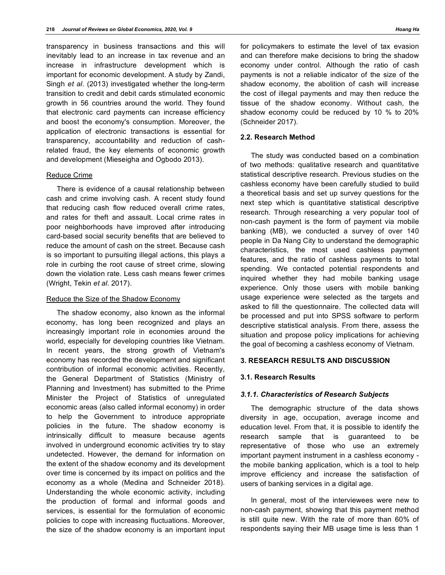transparency in business transactions and this will inevitably lead to an increase in tax revenue and an increase in infrastructure development which is important for economic development. A study by Zandi, Singh *et al*. (2013) investigated whether the long-term transition to credit and debit cards stimulated economic growth in 56 countries around the world. They found that electronic card payments can increase efficiency and boost the economy's consumption. Moreover, the application of electronic transactions is essential for transparency, accountability and reduction of cashrelated fraud, the key elements of economic growth and development (Mieseigha and Ogbodo 2013).

#### Reduce Crime

There is evidence of a causal relationship between cash and crime involving cash. A recent study found that reducing cash flow reduced overall crime rates, and rates for theft and assault. Local crime rates in poor neighborhoods have improved after introducing card-based social security benefits that are believed to reduce the amount of cash on the street. Because cash is so important to pursuiting illegal actions, this plays a role in curbing the root cause of street crime, slowing down the violation rate. Less cash means fewer crimes (Wright, Tekin *et al*. 2017).

# Reduce the Size of the Shadow Economy

The shadow economy, also known as the informal economy, has long been recognized and plays an increasingly important role in economies around the world, especially for developing countries like Vietnam. In recent years, the strong growth of Vietnam's economy has recorded the development and significant contribution of informal economic activities. Recently, the General Department of Statistics (Ministry of Planning and Investment) has submitted to the Prime Minister the Project of Statistics of unregulated economic areas (also called informal economy) in order to help the Government to introduce appropriate policies in the future. The shadow economy is intrinsically difficult to measure because agents involved in underground economic activities try to stay undetected. However, the demand for information on the extent of the shadow economy and its development over time is concerned by its impact on politics and the economy as a whole (Medina and Schneider 2018). Understanding the whole economic activity, including the production of formal and informal goods and services, is essential for the formulation of economic policies to cope with increasing fluctuations. Moreover, the size of the shadow economy is an important input for policymakers to estimate the level of tax evasion and can therefore make decisions to bring the shadow economy under control. Although the ratio of cash payments is not a reliable indicator of the size of the shadow economy, the abolition of cash will increase the cost of illegal payments and may then reduce the tissue of the shadow economy. Without cash, the shadow economy could be reduced by 10 % to 20% (Schneider 2017).

#### **2.2. Research Method**

The study was conducted based on a combination of two methods: qualitative research and quantitative statistical descriptive research. Previous studies on the cashless economy have been carefully studied to build a theoretical basis and set up survey questions for the next step which is quantitative statistical descriptive research. Through researching a very popular tool of non-cash payment is the form of payment via mobile banking (MB), we conducted a survey of over 140 people in Da Nang City to understand the demographic characteristics, the most used cashless payment features, and the ratio of cashless payments to total spending. We contacted potential respondents and inquired whether they had mobile banking usage experience. Only those users with mobile banking usage experience were selected as the targets and asked to fill the questionnaire. The collected data will be processed and put into SPSS software to perform descriptive statistical analysis. From there, assess the situation and propose policy implications for achieving the goal of becoming a cashless economy of Vietnam.

#### **3. RESEARCH RESULTS AND DISCUSSION**

#### **3.1. Research Results**

# *3.1.1. Characteristics of Research Subjects*

The demographic structure of the data shows diversity in age, occupation, average income and education level. From that, it is possible to identify the research sample that is guaranteed to be representative of those who use an extremely important payment instrument in a cashless economy the mobile banking application, which is a tool to help improve efficiency and increase the satisfaction of users of banking services in a digital age.

In general, most of the interviewees were new to non-cash payment, showing that this payment method is still quite new. With the rate of more than 60% of respondents saying their MB usage time is less than 1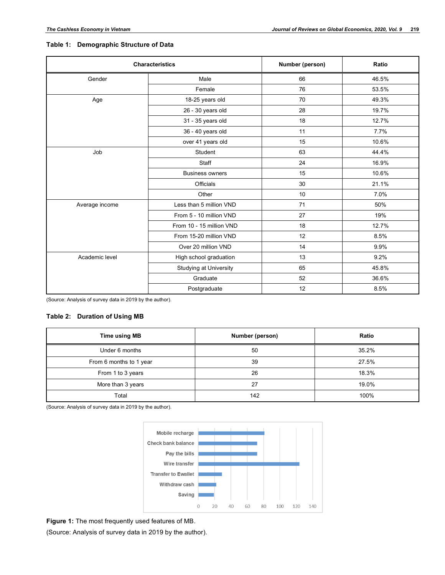# **Table 1: Demographic Structure of Data**

| <b>Characteristics</b> |                          | Number (person) | Ratio |  |
|------------------------|--------------------------|-----------------|-------|--|
| Gender                 | Male                     | 66              | 46.5% |  |
|                        | Female                   | 76              | 53.5% |  |
| Age                    | 18-25 years old          | 70              | 49.3% |  |
|                        | 26 - 30 years old        | 28              | 19.7% |  |
|                        | 31 - 35 years old        | 18              | 12.7% |  |
|                        | 36 - 40 years old        | 11              | 7.7%  |  |
|                        | over 41 years old        | 15              | 10.6% |  |
| Job                    | Student                  | 63              | 44.4% |  |
|                        | Staff                    | 24              | 16.9% |  |
|                        | <b>Business owners</b>   | 15              | 10.6% |  |
|                        | <b>Officials</b>         | 30              | 21.1% |  |
| Other                  |                          | 10              | 7.0%  |  |
| Average income         | Less than 5 million VND  | 71              | 50%   |  |
|                        | From 5 - 10 million VND  | 27              | 19%   |  |
|                        | From 10 - 15 million VND | 18              | 12.7% |  |
|                        | From 15-20 million VND   | 12              | 8.5%  |  |
|                        | Over 20 million VND      | 14              | 9.9%  |  |
| Academic level         | High school graduation   | 13              | 9.2%  |  |
|                        | Studying at University   | 65              | 45.8% |  |
|                        | Graduate                 | 52              | 36.6% |  |
|                        | Postgraduate             | 12              | 8.5%  |  |

(Source: Analysis of survey data in 2019 by the author).

# **Table 2: Duration of Using MB**

| Time using MB           | Number (person) | Ratio |  |
|-------------------------|-----------------|-------|--|
| Under 6 months          | 50              | 35.2% |  |
| From 6 months to 1 year | 39              | 27.5% |  |
| From 1 to 3 years       | 26              | 18.3% |  |
| More than 3 years       | 27              | 19.0% |  |
| Total                   | 142             | 100%  |  |

(Source: Analysis of survey data in 2019 by the author).



**Figure 1:** The most frequently used features of MB.

(Source: Analysis of survey data in 2019 by the author).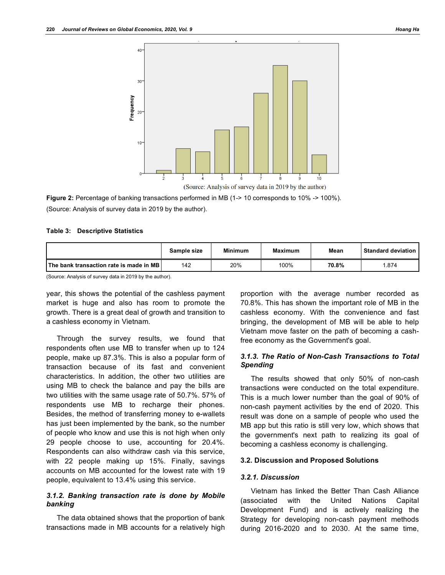

**Figure 2:** Percentage of banking transactions performed in MB (1-> 10 corresponds to 10% -> 100%). (Source: Analysis of survey data in 2019 by the author).

#### **Table 3: Descriptive Statistics**

|                                                | Sample size | <b>Minimum</b> | <b>Maximum</b> | Mean  | <b>Standard deviation</b> |
|------------------------------------------------|-------------|----------------|----------------|-------|---------------------------|
| <b>The bank transaction rate is made in MB</b> | 142         | 20%            | 100%           | 70.8% | 1.874                     |

(Source: Analysis of survey data in 2019 by the author).

year, this shows the potential of the cashless payment market is huge and also has room to promote the growth. There is a great deal of growth and transition to a cashless economy in Vietnam.

Through the survey results, we found that respondents often use MB to transfer when up to 124 people, make up 87.3%. This is also a popular form of transaction because of its fast and convenient characteristics. In addition, the other two utilities are using MB to check the balance and pay the bills are two utilities with the same usage rate of 50.7%. 57% of respondents use MB to recharge their phones. Besides, the method of transferring money to e-wallets has just been implemented by the bank, so the number of people who know and use this is not high when only 29 people choose to use, accounting for 20.4%. Respondents can also withdraw cash via this service, with 22 people making up 15%. Finally, savings accounts on MB accounted for the lowest rate with 19 people, equivalent to 13.4% using this service.

# *3.1.2. Banking transaction rate is done by Mobile banking*

The data obtained shows that the proportion of bank transactions made in MB accounts for a relatively high

proportion with the average number recorded as 70.8%. This has shown the important role of MB in the cashless economy. With the convenience and fast bringing, the development of MB will be able to help Vietnam move faster on the path of becoming a cashfree economy as the Government's goal.

# *3.1.3. The Ratio of Non-Cash Transactions to Total Spending*

The results showed that only 50% of non-cash transactions were conducted on the total expenditure. This is a much lower number than the goal of 90% of non-cash payment activities by the end of 2020. This result was done on a sample of people who used the MB app but this ratio is still very low, which shows that the government's next path to realizing its goal of becoming a cashless economy is challenging.

#### **3.2. Discussion and Proposed Solutions**

## *3.2.1. Discussion*

Vietnam has linked the Better Than Cash Alliance (associated with the United Nations Capital Development Fund) and is actively realizing the Strategy for developing non-cash payment methods during 2016-2020 and to 2030. At the same time,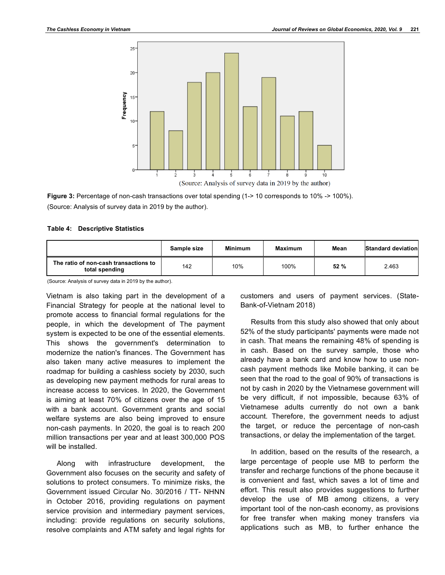

Figure 3: Percentage of non-cash transactions over total spending (1-> 10 corresponds to 10% -> 100%). (Source: Analysis of survey data in 2019 by the author).

#### **Table 4: Descriptive Statistics**

|                                                         | Sample size | <b>Minimum</b> | Maximum | Mean | Standard deviation |
|---------------------------------------------------------|-------------|----------------|---------|------|--------------------|
| The ratio of non-cash transactions to<br>total spending | 142         | 10%            | 100%    | 52%  | 2.463              |

(Source: Analysis of survey data in 2019 by the author).

Vietnam is also taking part in the development of a Financial Strategy for people at the national level to promote access to financial formal regulations for the people, in which the development of The payment system is expected to be one of the essential elements. This shows the government's determination to modernize the nation's finances. The Government has also taken many active measures to implement the roadmap for building a cashless society by 2030, such as developing new payment methods for rural areas to increase access to services. In 2020, the Government is aiming at least 70% of citizens over the age of 15 with a bank account. Government grants and social welfare systems are also being improved to ensure non-cash payments. In 2020, the goal is to reach 200 million transactions per year and at least 300,000 POS will be installed.

Along with infrastructure development, the Government also focuses on the security and safety of solutions to protect consumers. To minimize risks, the Government issued Circular No. 30/2016 / TT- NHNN in October 2016, providing regulations on payment service provision and intermediary payment services, including: provide regulations on security solutions, resolve complaints and ATM safety and legal rights for

customers and users of payment services. (State-Bank-of-Vietnam 2018)

Results from this study also showed that only about 52% of the study participants' payments were made not in cash. That means the remaining 48% of spending is in cash. Based on the survey sample, those who already have a bank card and know how to use noncash payment methods like Mobile banking, it can be seen that the road to the goal of 90% of transactions is not by cash in 2020 by the Vietnamese government will be very difficult, if not impossible, because 63% of Vietnamese adults currently do not own a bank account. Therefore, the government needs to adjust the target, or reduce the percentage of non-cash transactions, or delay the implementation of the target.

In addition, based on the results of the research, a large percentage of people use MB to perform the transfer and recharge functions of the phone because it is convenient and fast, which saves a lot of time and effort. This result also provides suggestions to further develop the use of MB among citizens, a very important tool of the non-cash economy, as provisions for free transfer when making money transfers via applications such as MB, to further enhance the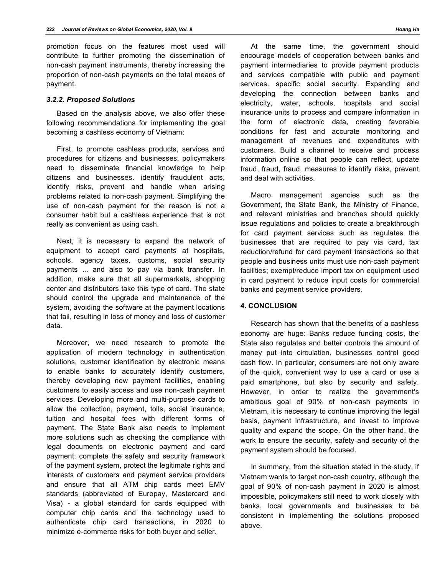promotion focus on the features most used will contribute to further promoting the dissemination of non-cash payment instruments, thereby increasing the proportion of non-cash payments on the total means of payment.

# *3.2.2. Proposed Solutions*

Based on the analysis above, we also offer these following recommendations for implementing the goal becoming a cashless economy of Vietnam:

First, to promote cashless products, services and procedures for citizens and businesses, policymakers need to disseminate financial knowledge to help citizens and businesses. identify fraudulent acts, identify risks, prevent and handle when arising problems related to non-cash payment. Simplifying the use of non-cash payment for the reason is not a consumer habit but a cashless experience that is not really as convenient as using cash.

Next, it is necessary to expand the network of equipment to accept card payments at hospitals, schools, agency taxes, customs, social security payments ... and also to pay via bank transfer. In addition, make sure that all supermarkets, shopping center and distributors take this type of card. The state should control the upgrade and maintenance of the system, avoiding the software at the payment locations that fail, resulting in loss of money and loss of customer data.

Moreover, we need research to promote the application of modern technology in authentication solutions, customer identification by electronic means to enable banks to accurately identify customers, thereby developing new payment facilities, enabling customers to easily access and use non-cash payment services. Developing more and multi-purpose cards to allow the collection, payment, tolls, social insurance, tuition and hospital fees with different forms of payment. The State Bank also needs to implement more solutions such as checking the compliance with legal documents on electronic payment and card payment; complete the safety and security framework of the payment system, protect the legitimate rights and interests of customers and payment service providers and ensure that all ATM chip cards meet EMV standards (abbreviated of Europay, Mastercard and Visa) - a global standard for cards equipped with computer chip cards and the technology used to authenticate chip card transactions, in 2020 to minimize e-commerce risks for both buyer and seller.

At the same time, the government should encourage models of cooperation between banks and payment intermediaries to provide payment products and services compatible with public and payment services. specific social security. Expanding and developing the connection between banks and electricity, water, schools, hospitals and social insurance units to process and compare information in the form of electronic data, creating favorable conditions for fast and accurate monitoring and management of revenues and expenditures with customers. Build a channel to receive and process information online so that people can reflect, update fraud, fraud, fraud, measures to identify risks, prevent and deal with activities.

Macro management agencies such as the Government, the State Bank, the Ministry of Finance, and relevant ministries and branches should quickly issue regulations and policies to create a breakthrough for card payment services such as regulates the businesses that are required to pay via card, tax reduction/refund for card payment transactions so that people and business units must use non-cash payment facilities; exempt/reduce import tax on equipment used in card payment to reduce input costs for commercial banks and payment service providers.

## **4. CONCLUSION**

Research has shown that the benefits of a cashless economy are huge: Banks reduce funding costs, the State also regulates and better controls the amount of money put into circulation, businesses control good cash flow. In particular, consumers are not only aware of the quick, convenient way to use a card or use a paid smartphone, but also by security and safety. However, in order to realize the government's ambitious goal of 90% of non-cash payments in Vietnam, it is necessary to continue improving the legal basis, payment infrastructure, and invest to improve quality and expand the scope. On the other hand, the work to ensure the security, safety and security of the payment system should be focused.

In summary, from the situation stated in the study, if Vietnam wants to target non-cash country, although the goal of 90% of non-cash payment in 2020 is almost impossible, policymakers still need to work closely with banks, local governments and businesses to be consistent in implementing the solutions proposed above.